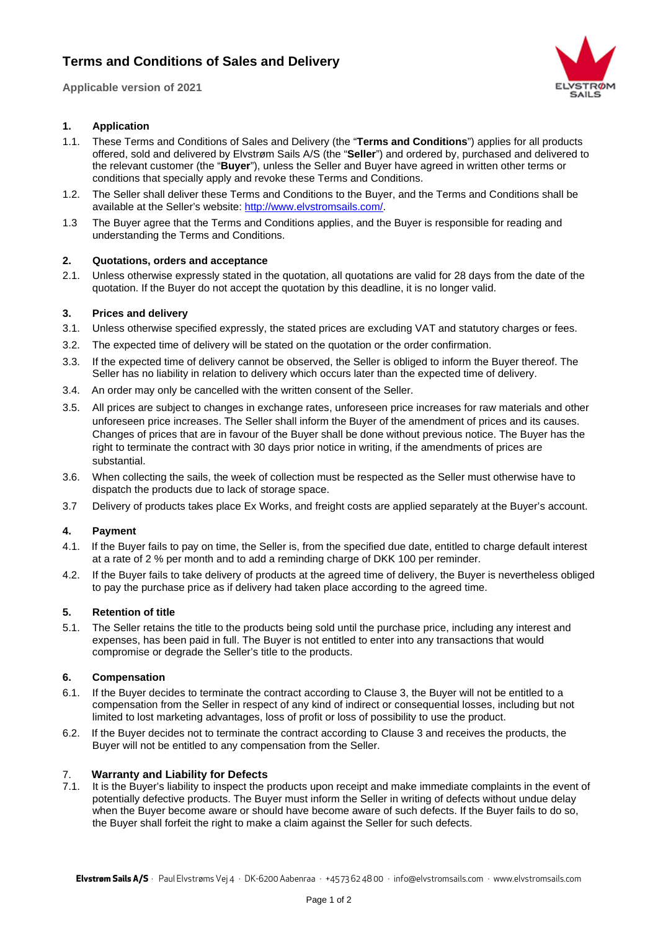# **Terms and Conditions of Sales and Delivery**

**Applicable version of 2021**



# **1. Application**

- 1.1. These Terms and Conditions of Sales and Delivery (the "**Terms and Conditions**") applies for all products offered, sold and delivered by Elvstrøm Sails A/S (the "**Seller**") and ordered by, purchased and delivered to the relevant customer (the "**Buyer**"), unless the Seller and Buyer have agreed in written other terms or conditions that specially apply and revoke these Terms and Conditions.
- 1.2. The Seller shall deliver these Terms and Conditions to the Buyer, and the Terms and Conditions shall be available at the Seller's website: [http://www.elvstromsails.com/.](http://www.elvstromsails.com/)
- 1.3 The Buyer agree that the Terms and Conditions applies, and the Buyer is responsible for reading and understanding the Terms and Conditions.

### **2. Quotations, orders and acceptance**

2.1. Unless otherwise expressly stated in the quotation, all quotations are valid for 28 days from the date of the quotation. If the Buyer do not accept the quotation by this deadline, it is no longer valid.

### **3. Prices and delivery**

- 3.1. Unless otherwise specified expressly, the stated prices are excluding VAT and statutory charges or fees.
- 3.2. The expected time of delivery will be stated on the quotation or the order confirmation.
- 3.3. If the expected time of delivery cannot be observed, the Seller is obliged to inform the Buyer thereof. The Seller has no liability in relation to delivery which occurs later than the expected time of delivery.
- 3.4. An order may only be cancelled with the written consent of the Seller.
- 3.5. All prices are subject to changes in exchange rates, unforeseen price increases for raw materials and other unforeseen price increases. The Seller shall inform the Buyer of the amendment of prices and its causes. Changes of prices that are in favour of the Buyer shall be done without previous notice. The Buyer has the right to terminate the contract with 30 days prior notice in writing, if the amendments of prices are substantial.
- 3.6. When collecting the sails, the week of collection must be respected as the Seller must otherwise have to dispatch the products due to lack of storage space.
- 3.7 Delivery of products takes place Ex Works, and freight costs are applied separately at the Buyer's account.

# **4. Payment**

- 4.1. If the Buyer fails to pay on time, the Seller is, from the specified due date, entitled to charge default interest at a rate of 2 % per month and to add a reminding charge of DKK 100 per reminder.
- 4.2. If the Buyer fails to take delivery of products at the agreed time of delivery, the Buyer is nevertheless obliged to pay the purchase price as if delivery had taken place according to the agreed time.

# **5. Retention of title**

5.1. The Seller retains the title to the products being sold until the purchase price, including any interest and expenses, has been paid in full. The Buyer is not entitled to enter into any transactions that would compromise or degrade the Seller's title to the products.

#### **6. Compensation**

- 6.1. If the Buyer decides to terminate the contract according to Clause 3, the Buyer will not be entitled to a compensation from the Seller in respect of any kind of indirect or consequential losses, including but not limited to lost marketing advantages, loss of profit or loss of possibility to use the product.
- 6.2. If the Buyer decides not to terminate the contract according to Clause 3 and receives the products, the Buyer will not be entitled to any compensation from the Seller.

#### 7. **Warranty and Liability for Defects**

7.1. It is the Buyer's liability to inspect the products upon receipt and make immediate complaints in the event of potentially defective products. The Buyer must inform the Seller in writing of defects without undue delay when the Buyer become aware or should have become aware of such defects. If the Buyer fails to do so, the Buyer shall forfeit the right to make a claim against the Seller for such defects.